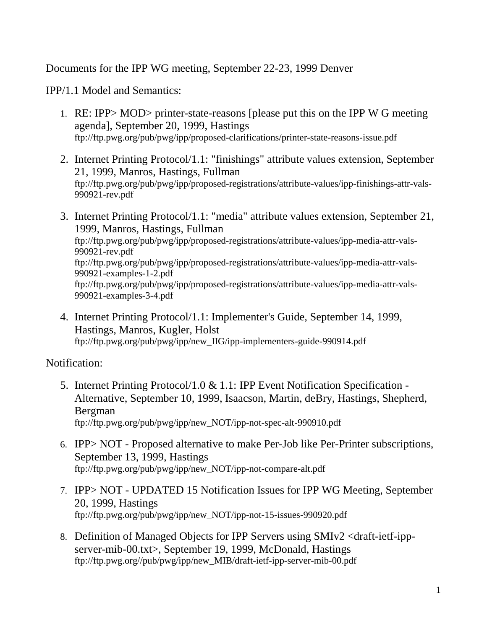Documents for the IPP WG meeting, September 22-23, 1999 Denver

IPP/1.1 Model and Semantics:

- 1. RE: IPP> MOD> printer-state-reasons [please put this on the IPP W G meeting agenda], September 20, 1999, Hastings ftp://ftp.pwg.org/pub/pwg/ipp/proposed-clarifications/printer-state-reasons-issue.pdf
- 2. Internet Printing Protocol/1.1: "finishings" attribute values extension, September 21, 1999, Manros, Hastings, Fullman ftp://ftp.pwg.org/pub/pwg/ipp/proposed-registrations/attribute-values/ipp-finishings-attr-vals-990921-rev.pdf
- 3. Internet Printing Protocol/1.1: "media" attribute values extension, September 21, 1999, Manros, Hastings, Fullman ftp://ftp.pwg.org/pub/pwg/ipp/proposed-registrations/attribute-values/ipp-media-attr-vals-990921-rev.pdf ftp://ftp.pwg.org/pub/pwg/ipp/proposed-registrations/attribute-values/ipp-media-attr-vals-990921-examples-1-2.pdf ftp://ftp.pwg.org/pub/pwg/ipp/proposed-registrations/attribute-values/ipp-media-attr-vals-990921-examples-3-4.pdf
- 4. Internet Printing Protocol/1.1: Implementer's Guide, September 14, 1999, Hastings, Manros, Kugler, Holst ftp://ftp.pwg.org/pub/pwg/ipp/new\_IIG/ipp-implementers-guide-990914.pdf

Notification:

- 5. Internet Printing Protocol/1.0 & 1.1: IPP Event Notification Specification Alternative, September 10, 1999, Isaacson, Martin, deBry, Hastings, Shepherd, Bergman ftp://ftp.pwg.org/pub/pwg/ipp/new\_NOT/ipp-not-spec-alt-990910.pdf
- 6. IPP> NOT Proposed alternative to make Per-Job like Per-Printer subscriptions, September 13, 1999, Hastings ftp://ftp.pwg.org/pub/pwg/ipp/new\_NOT/ipp-not-compare-alt.pdf
- 7. IPP> NOT UPDATED 15 Notification Issues for IPP WG Meeting, September 20, 1999, Hastings ftp://ftp.pwg.org/pub/pwg/ipp/new\_NOT/ipp-not-15-issues-990920.pdf
- 8. Definition of Managed Objects for IPP Servers using SMIv2 <draft-ietf-ippserver-mib-00.txt>, September 19, 1999, McDonald, Hastings ftp://ftp.pwg.org//pub/pwg/ipp/new\_MIB/draft-ietf-ipp-server-mib-00.pdf